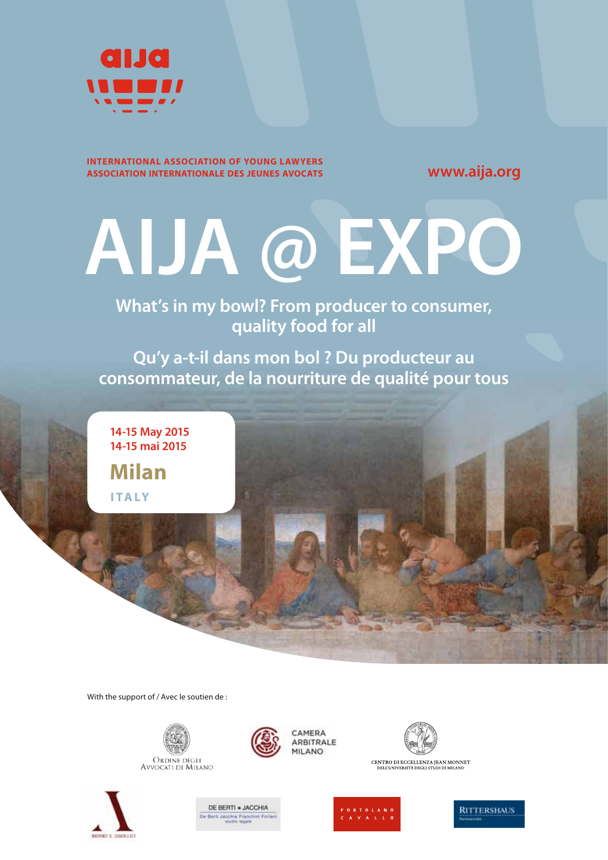

#### **INTERNATIONAL ASSOCIATION OF YOUNG LAWYERS ASSOCIATION INTERNATIONALE DES JEUNES AVOCATS**

**www.aija.org**

# **AIJA @ EXPO**

# **What's in my bowl? From producer to consumer, quality food for all**

**Qu'y a-t-il dans mon bol ? Du producteur au consommateur, de la nourriture de qualité pour tous**

**Milan 14-15 May 2015 14-15 mai 2015 ITALY**

With the support of / Avec le soutien de :



Ordine degli<br>Avvocati di Milano









CENTRO DI ECCELLENZA JEAN MONNET<br>DELL'UNIVERSITÀ DEGLI STUDI DI MILANO



**RITTERSHAUS**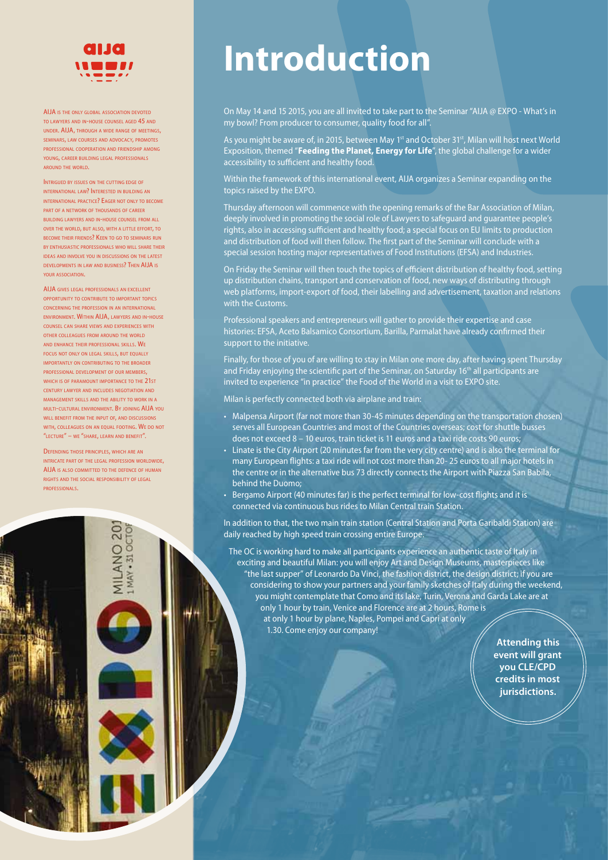

AIJA IS THE ONLY GLOBAL ASSOCIATION DEVOTED TO LAWYERS AND IN-HOUSE COUNSEL AGED 45 AND UNDER. AIJA, THROUGH <sup>A</sup> WIDE RANGE OF MEETINGS, SEMINARS, LAW COURSES AND ADVOCACY, PROMOTES PROFESSIONAL COOPERATION AND FRIENDSHIP AMONG YOUNG, CAREER BUILDING LEGAL PROFESSIONALS AROUND THE WORLD.

INTRIGUED BY ISSUES ON THE CUTTING EDGE OF INTERNATIONAL LAW? INTERESTED IN BUILDING AN INTERNATIONAL PRACTICE? EAGER NOT ONLY TO BECOME PART OF A NETWORK OF THOUSANDS OF CAREER BUILDING LAWYERS AND IN-HOUSE COUNSEL FROM ALL OVER THE WORLD, BUT ALSO, WITH <sup>A</sup> LITTLE EFFORT, TO BECOME THEIR FRIENDS? KEEN TO GO TO SEMINARS RUN BY ENTHUSIASTIC PROFESSIONALS WHO WILL SHARE THEIR IDEAS AND INVOLVE YOU IN DISCUSSIONS ON THE LATEST DEVELOPMENTS IN LAW AND BUSINESS? THEN AIJA IS YOUR ASSOCIATION.

AIJA GIVES LEGAL PROFESSIONALS AN EXCELLENT OPPORTUNITY TO CONTRIBUTE TO IMPORTANT TOPICS CONCERNING THE PROFESSION IN AN INTERNATIONAL ENVIRONMENT. WITHIN AIJA, LAWYERS AND IN-HOUSE COUNSEL CAN SHARE VIEWS AND EXPERIENCES WITH OTHER COLLEAGUES FROM AROUND THE WORLD AND ENHANCE THEIR PROFESSIONAL SKILLS. WE FOCUS NOT ONLY ON LEGAL SKILLS, BUT EQUALLY IMPORTANTLY ON CONTRIBUTING TO THE BROADER PROFESSIONAL DEVELOPMENT OF OUR MEMBERS, WHICH IS OF PARAMOUNT IMPORTANCE TO THE 21ST CENTURY LAWYER AND INCLUDES NEGOTIATION AND MANAGEMENT SKILLS AND THE ABILITY TO WORK IN A MULTI-CULTURAL ENVIRONMENT. BY JOINING AIJA YOU WILL BENEFIT FROM THE INPUT OF, AND DISCUSSIONS WITH, COLLEAGUES ON AN EQUAL FOOTING. WE DO NOT "LECTURE" – WE "SHARE, LEARN AND BENEFIT".

DEFENDING THOSE PRINCIPLES, WHICH ARE AN INTRICATE PART OF THE LEGAL PROFESSION WORLDWIDE, AIJA IS ALSO COMMITTED TO THE DEFENCE OF HUMAN RIGHTS AND THE SOCIAL RESPONSIBILITY OF LEGAL PROFESSIONALS.

> **MILANO 20** MAY - 31 OCTOR

# **Introduction**

On May 14 and 15 2015, you are all invited to take part to the Seminar "AIJA @ EXPO - What's in my bowl? From producer to consumer, quality food for all".

As you might be aware of, in 2015, between May 1<sup>st</sup> and October 31<sup>st</sup>, Milan will host next World Exposition, themed "**Feeding the Planet, Energy for Life**", the global challenge for a wider accessibility to sufficient and healthy food.

Within the framework of this international event, AIJA organizes a Seminar expanding on the topics raised by the EXPO.

Thursday afternoon will commence with the opening remarks of the Bar Association of Milan, deeply involved in promoting the social role of Lawyers to safeguard and guarantee people's rights, also in accessing sufficient and healthy food; a special focus on EU limits to production and distribution of food will then follow. The first part of the Seminar will conclude with a special session hosting major representatives of Food Institutions (EFSA) and Industries.

On Friday the Seminar will then touch the topics of efficient distribution of healthy food, setting up distribution chains, transport and conservation of food, new ways of distributing through web platforms, import-export of food, their labelling and advertisement, taxation and relations with the Customs.

Professional speakers and entrepreneurs will gather to provide their expertise and case histories: EFSA, Aceto Balsamico Consortium, Barilla, Parmalat have already confirmed their support to the initiative.

Finally, for those of you of are willing to stay in Milan one more day, after having spent Thursday and Friday enjoying the scientific part of the Seminar, on Saturday 16<sup>th</sup> all participants are invited to experience "in practice" the Food of the World in a visit to EXPO site.

Milan is perfectly connected both via airplane and train:

- Malpensa Airport (far not more than 30-45 minutes depending on the transportation chosen) serves all European Countries and most of the Countries overseas; cost for shuttle busses does not exceed 8 – 10 euros, train ticket is 11 euros and a taxi ride costs 90 euros;
- Linate is the City Airport (20 minutes far from the very city centre) and is also the terminal for many European flights: a taxi ride will not cost more than 20-25 euros to all major hotels in the centre or in the alternative bus 73 directly connects the Airport with Piazza San Babila, behind the Duomo;
- Bergamo Airport (40 minutes far) is the perfect terminal for low-cost flights and it is connected via continuous bus rides to Milan Central train Station.

In addition to that, the two main train station (Central Station and Porta Garibaldi Station) are daily reached by high speed train crossing entire Europe.

The OC is working hard to make all participants experience an authentic taste of Italy in exciting and beautiful Milan: you will enjoy Art and Design Museums, masterpieces like "the last supper" of Leonardo Da Vinci, the fashion district, the design district; if you are considering to show your partners and your family sketches of Italy during the weekend, you might contemplate that Como and its lake, Turin, Verona and Garda Lake are at only 1 hour by train, Venice and Florence are at 2 hours, Rome is at only 1 hour by plane, Naples, Pompei and Capri at only 1.30. Come enjoy our company!

> **Attending this event will grant you CLE/CPD credits in most jurisdictions.**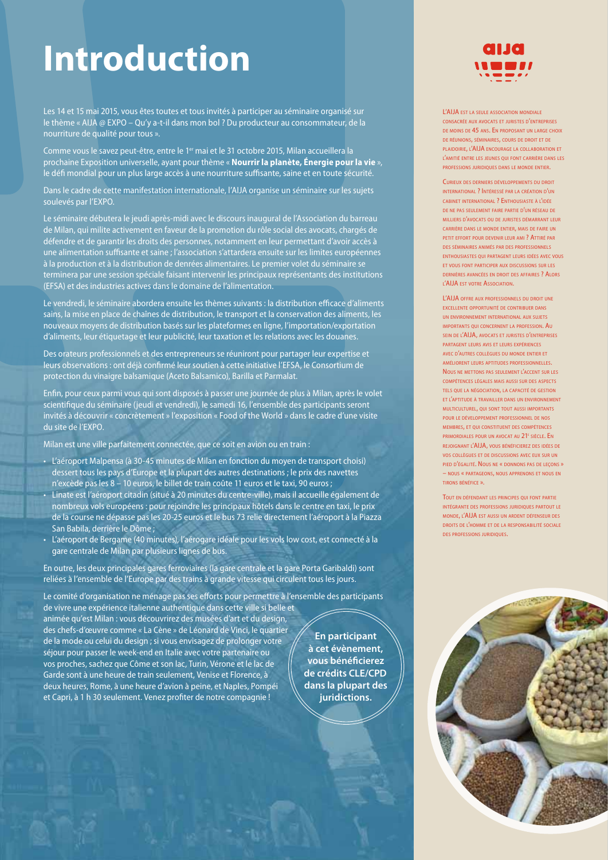# **Introduction**

Les 14 et 15 mai 2015, vous êtes toutes et tous invités à participer au séminaire organisé sur le thème « AIJA @ EXPO – Qu'y a-t-il dans mon bol ? Du producteur au consommateur, de la nourriture de qualité pour tous ».

Comme vous le savez peut-être, entre le 1<sup>er</sup> mai et le 31 octobre 2015, Milan accueillera la prochaine Exposition universelle, ayant pour thème « **Nourrir la planète, Énergie pour la vie** », le défi mondial pour un plus large accès à une nourriture suffisante, saine et en toute sécurité.

Dans le cadre de cette manifestation internationale, l'AIJA organise un séminaire sur les sujets soulevés par l'EXPO.

Le séminaire débutera le jeudi après-midi avec le discours inaugural de l'Association du barreau de Milan, qui milite activement en faveur de la promotion du rôle social des avocats, chargés de défendre et de garantir les droits des personnes, notamment en leur permettant d'avoir accès à une alimentation suffisante et saine ; l'association s'attardera ensuite sur les limites européennes à la production et à la distribution de denrées alimentaires. Le premier volet du séminaire se terminera par une session spéciale faisant intervenir les principaux représentants des institutions (EFSA) et des industries actives dans le domaine de l'alimentation.

Le vendredi, le séminaire abordera ensuite les thèmes suivants : la distribution efficace d'aliments sains, la mise en place de chaînes de distribution, le transport et la conservation des aliments, les nouveaux moyens de distribution basés sur les plateformes en ligne, l'importation/exportation d'aliments, leur étiquetage et leur publicité, leur taxation et les relations avec les douanes.

Des orateurs professionnels et des entrepreneurs se réuniront pour partager leur expertise et leurs observations : ont déjà confirmé leur soutien à cette initiative l'EFSA, le Consortium de protection du vinaigre balsamique (Aceto Balsamico), Barilla et Parmalat.

Enfin, pour ceux parmi vous qui sont disposés à passer une journée de plus à Milan, après le volet scientifique du séminaire (jeudi et vendredi), le samedi 16, l'ensemble des participants seront invités à découvrir « concrètement » l'exposition « Food of the World » dans le cadre d'une visite du site de l'EXPO.

Milan est une ville parfaitement connectée, que ce soit en avion ou en train :

San Babila, derrière le Dôme ;

- L'aéroport Malpensa (à 30-45 minutes de Milan en fonction du moyen de transport choisi) dessert tous les pays d'Europe et la plupart des autres destinations ; le prix des navettes n'excède pas les 8 – 10 euros, le billet de train coûte 11 euros et le taxi, 90 euros ; • Linate est l'aéroport citadin (situé à 20 minutes du centre-ville), mais il accueille également de nombreux vols européens : pour rejoindre les principaux hôtels dans le centre en taxi, le prix de la course ne dépasse pas les 20-25 euros et le bus 73 relie directement l'aéroport à la Piazza
- L'aéroport de Bergame (40 minutes), l'aérogare idéale pour les vols low cost, est connecté à la gare centrale de Milan par plusieurs lignes de bus.

En outre, les deux principales gares ferroviaires (la gare centrale et la gare Porta Garibaldi) sont reliées à l'ensemble de l'Europe par des trains à grande vitesse qui circulent tous les jours.

Le comité d'organisation ne ménage pas ses efforts pour permettre à l'ensemble des participants de vivre une expérience italienne authentique dans cette ville si belle et animée qu'est Milan : vous découvrirez des musées d'art et du design, des chefs-d'œuvre comme « La Cène » de Léonard de Vinci, le quartier de la mode ou celui du design ; si vous envisagez de prolonger votre séjour pour passer le week-end en Italie avec votre partenaire ou vos proches, sachez que Côme et son lac, Turin, Vérone et le lac de Garde sont à une heure de train seulement, Venise et Florence, à deux heures, Rome, à une heure d'avion à peine, et Naples, Pompéi et Capri, à 1 h 30 seulement. Venez profiter de notre compagnie !

**En participant à cet évènement, vous bénéfi cierez de crédits CLE/CPD dans la plupart des juridictions.**



L'AIJA EST LA SEULE ASSOCIATION MONDIALE CONSACRÉE AUX AVOCATS ET JURISTES D'ENTREPRISES DE MOINS DE 45 ANS. EN PROPOSANT UN LARGE CHOIX DE RÉUNIONS, SÉMINAIRES, COURS DE DROIT ET DE PLAIDOIRIE, L'AIJA ENCOURAGE LA COLLABORATION ET L'AMITIÉ ENTRE LES JEUNES QUI FONT CARRIÈRE DANS LES PROFESSIONS JURIDIQUES DANS LE MONDE ENTIER.

CURIEUX DES DERNIERS DÉVELOPPEMENTS DU DROIT INTERNATIONAL ? INTÉRESSÉ PAR LA CRÉATION D'UN CABINET INTERNATIONAL ? ENTHOUSIASTE <sup>À</sup> L'IDÉE DE NE PAS SEULEMENT FAIRE PARTIE D'UN RÉSEAU DE MILLIERS D'AVOCATS OU DE JURISTES DÉMARRANT LEUR CARRIÈRE DANS LE MONDE ENTIER, MAIS DE FAIRE UN PETIT EFFORT POUR DEVENIR LEUR AMI ? ATTIRÉ PAR DES SÉMINAIRES ANIMÉS PAR DES PROFESSIONNELS ENTHOUSIASTES QUI PARTAGENT LEURS IDÉES AVEC VOUS ET VOUS FONT PARTICIPER AUX DISCUSSIONS SUR LES DERNIÈRES AVANCÉES EN DROIT DES AFFAIRES ? ALORS L'AIJA EST VOTRE ASSOCIATION.

L'AIJA OFFRE AUX PROFESSIONNELS DU DROIT UNE EXCELLENTE OPPORTUNITÉ DE CONTRIBUER DANS UN ENVIRONNEMENT INTERNATIONAL AUX SUJETS IMPORTANTS QUI CONCERNENT LA PROFESSION. AU SEIN DE L'AIJA, AVOCATS ET JURISTES D'ENTREPRISES PARTAGENT LEURS AVIS ET LEURS EXPÉRIENCES AVEC D'AUTRES COLLÈGUES DU MONDE ENTIER ET AMÉLIORENT LEURS APTITUDES PROFESSIONNELLES. NOUS NE METTONS PAS SEULEMENT L'ACCENT SUR LES COMPÉTENCES LÉGALES MAIS AUSSI SUR DES ASPECTS TELS QUE LA NÉGOCIATION, LA CAPACITÉ DE GESTION ET L'APTITUDE À TRAVAILLER DANS UN ENVIRONNEMENT MULTICULTUREL, QUI SONT TOUT AUSSI IMPORTANTS POUR LE DÉVELOPPEMENT PROFESSIONNEL DE NOS MEMBRES, ET QUI CONSTITUENT DES COMPÉTENCES PRIMORDIALES POUR UN AVOCAT AU 21<sup>E</sup> SIÈCLE. EN REJOIGNANT L'AIJA, VOUS BÉNÉFICIEREZ DES IDÉES DE VOS COLLÈGUES ET DE DISCUSSIONS AVEC EUX SUR UN PIED D'ÉGALITÉ. NOUS NE « DONNONS PAS DE LEÇONS » – NOUS « PARTAGEONS, NOUS APPRENONS ET NOUS EN TIRONS BÉNÉFICE ».

TOUT EN DÉFENDANT LES PRINCIPES QUI FONT PARTIE INTÉGRANTE DES PROFESSIONS JURIDIQUES PARTOUT LE MONDE, L'AIJA EST AUSSI UN ARDENT DÉFENSEUR DES DROITS DE L'HOMME ET DE LA RESPONSABILITÉ SOCIALE DES PROFESSIONS JURIDIQUES.

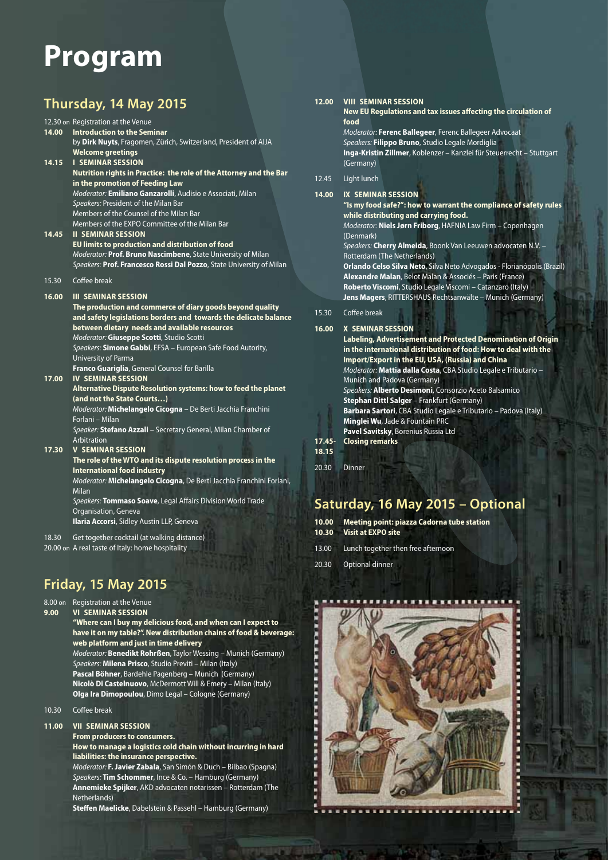# **Program**

# **Thursday, 14 May 2015**

|       | 12.30 on Registration at the Venue                                                                    |
|-------|-------------------------------------------------------------------------------------------------------|
| 14.00 | <b>Introduction to the Seminar</b><br>by Dirk Nuyts, Fragomen, Zürich, Switzerland, President of AIJA |
|       | <b>Welcome greetings</b>                                                                              |
| 14.15 | <b>I SEMINAR SESSION</b>                                                                              |
|       | Nutrition rights in Practice: the role of the Attorney and the Bar                                    |
|       | in the promotion of Feeding Law                                                                       |
|       | Moderator: Emiliano Ganzarolli, Audisio e Associati, Milan                                            |
|       | Speakers: President of the Milan Bar<br>Members of the Counsel of the Milan Bar                       |
|       | Members of the EXPO Committee of the Milan Bar                                                        |
| 14.45 | <b>II SEMINAR SESSION</b>                                                                             |
|       | EU limits to production and distribution of food                                                      |
|       | Moderator: Prof. Bruno Nascimbene, State University of Milan                                          |
|       | Speakers: Prof. Francesco Rossi Dal Pozzo, State University of Milan                                  |
| 15.30 | Coffee break                                                                                          |
| 16.00 | <b>III SEMINAR SESSION</b>                                                                            |
|       | The production and commerce of diary goods beyond quality                                             |
|       | and safety legislations borders and towards the delicate balance                                      |
|       | between dietary needs and available resources                                                         |
|       | Moderator: Giuseppe Scotti, Studio Scotti                                                             |
|       | Speakers: Simone Gabbi, EFSA - European Safe Food Autority,<br><b>University of Parma</b>             |
|       | Franco Guariglia, General Counsel for Barilla                                                         |
| 17.00 | <b>IV SEMINAR SESSION</b>                                                                             |
|       | Alternative Dispute Resolution systems: how to feed the planet                                        |
|       | (and not the State Courts)                                                                            |
|       | Moderator: Michelangelo Cicogna - De Berti Jacchia Franchini<br>Forlani - Milan                       |
|       | Speaker: Stefano Azzali - Secretary General, Milan Chamber of                                         |
|       | Arbitration                                                                                           |
| 17.30 | <b>V SEMINAR SESSION</b>                                                                              |
|       | The role of the WTO and its dispute resolution process in the                                         |
|       | <b>International food industry</b>                                                                    |
|       | Moderator: Michelangelo Cicogna, De Berti Jacchia Franchini Forlani,<br><b>Milan</b>                  |
|       | Speakers: Tommaso Soave, Legal Affairs Division World Trade                                           |
|       | Organisation, Geneva                                                                                  |
|       | Ilaria Accorsi, Sidley Austin LLP, Geneva                                                             |

- 18.30 Get together cocktail (at walking distance)
- 20.00 on A real taste of Italy: home hospitality

# **Friday, 15 May 2015**

### 8.00 on Registration at the Venue

**9.00 VI SEMINAR SESSION**

 **"Where can I buy my delicious food, and when can I expect to have it on my table?". New distribution chains of food & beverage: web platform and just in time delivery**

Moderator: **Benedikt Rohrßen**, Taylor Wessing – Munich (Germany) Speakers: **Milena Prisco**, Studio Previti – Milan (Italy) **Pascal Böhner**, Bardehle Pagenberg – Munich (Germany) **Nicolò Di Castelnuovo**, McDermott Will & Emery – Milan (Italy) **Olga Ira Dimopoulou**, Dimo Legal – Cologne (Germany)

10.30 Coffee break

#### **11.00 VII SEMINAR SESSION**

 **From producers to consumers. How to manage a logistics cold chain without incurring in hard liabilities: the insurance perspective.**

Moderator: **F. Javier Zabala**, San Simón & Duch – Bilbao (Spagna) Speakers: **Tim Schommer**, Ince & Co. – Hamburg (Germany) **Annemieke Spijker**, AKD advocaten notarissen – Rotterdam (The Netherlands)

**Steffen Maelicke**, Dabelstein & Passehl - Hamburg (Germany)

| 12.00 | <b>VIII SEMINAR SESSION</b>                                                                               |
|-------|-----------------------------------------------------------------------------------------------------------|
|       | New EU Regulations and tax issues affecting the circu                                                     |
|       | food                                                                                                      |
|       | Moderator: Ferenc Ballegeer, Ferenc Ballegeer Advocaat                                                    |
|       | $\sigma$ is the second and the second state of the second state $\sigma$ . The second state is the second |

Speakers: **Filippo Bruno**, Studio Legale Mordiglia **Inga-Kristin Zillmer**, Koblenzer – Kanzlei für Steuerrecht – Stuttgart (Germany)

**circulation of** 

#### 12.45 Light lunch

| 14.00 | <b>IX SEMINAR SESSION</b>                                                       |
|-------|---------------------------------------------------------------------------------|
|       | "Is my food safe?": how to warrant the compliance of safety rules               |
|       | while distributing and carrying food.                                           |
|       | Moderator: Niels Jørn Friborg, HAFNIA Law Firm - Copenhagen                     |
|       | (Denmark)                                                                       |
|       | Speakers: Cherry Almeida, Boonk Van Leeuwen advocaten N.V. -                    |
|       | Rotterdam (The Netherlands)                                                     |
|       | <b>Orlando Celso Silva Neto</b> , Silva Neto Advogados - Florianópolis (Brazil) |
|       | Alexandre Malan, Belot Malan & Associés - Paris (France)                        |
|       | Roberto Viscomi, Studio Legale Viscomi - Catanzaro (Italy)                      |
|       | Jens Magers, RITTERSHAUS Rechtsanwälte – Munich (Germany)                       |
| 15.30 | Coffee break                                                                    |
| 16.00 | <b>X SEMINAR SESSION</b>                                                        |
|       | Labeling, Advertisement and Protected Denomination of Origin                    |
|       | in the international distribution of food: How to deal with the                 |
|       | Import/Export in the EU, USA, (Russia) and China                                |
|       | Moderator: Mattia dalla Costa, CBA Studio Legale e Tributario -                 |
|       | Munich and Padova (Germany)                                                     |
|       | Speakers: <b>Alberto Desimoni</b> , Consorzio Aceto Balsamico                   |
|       | <b>Stephan Dittl Salger</b> - Frankfurt (Germany)                               |

**Barbara Sartori**, CBA Studio Legale e Tributario – Padova (Italy) **Minglei Wu**, Jade & Fountain PRC **Pavel Savitsky**, Borenius Russia Ltd **17.45- Closing remarks**

```
18.15
```
20.30 Dinner

# **Saturday, 16 May 2015 – Optional**

| 10.00 Meeting point: piazza Cadorna tube station<br>10.30 Visit at EXPO site |  |
|------------------------------------------------------------------------------|--|
| 13.00 Lunch together then free afternoon                                     |  |
| 20.30 Optional dinner                                                        |  |

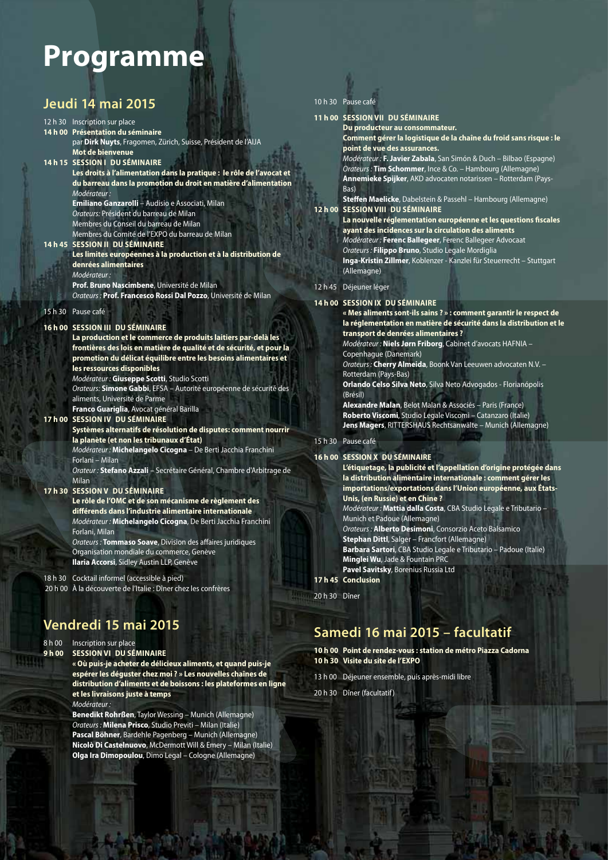# **Programme**

### **Jeudi 14 mai 2015**

#### 12 h 30 Inscription sur place **14 h 00 Présentation du séminaire** par **Dirk Nuyts**, Fragomen, Zürich, Suisse, Président de l'AIJA  **Mot de bienvenue 14 h 15 SESSION I DU SÉMINAIRE Les droits à l'alimentation dans la pratique : le rôle de l'avocat et du barreau dans la promotion du droit en matière d'alimentation**  Modérateur : **Emiliano Ganzarolli** – Audisio e Associati, Milan Orateurs: Président du barreau de Milan Membres du Conseil du barreau de Milan Membres du Comité de l'EXPO du barreau de Milan **14 h 45 SESSION II DU SÉMINAIRE Les limites européennes à la production et à la distribution de denrées alimentaires** Modérateur : **Prof. Bruno Nascimbene**, Université de Milan Orateurs : **Prof. Francesco Rossi Dal Pozzo**, Université de Milan 15 h 30 Pause café

#### **16 h 00 SESSION III DU SÉMINAIRE**

#### **La production et le commerce de produits laitiers par-delà les frontières des lois en matière de qualité et de sécurité, et pour la promotion du délicat équilibre entre les besoins alimentaires et les ressources disponibles** Modérateur : **Giuseppe Scotti**, Studio Scotti

 Orateurs: **Simone Gabbi**, EFSA – Autorité européenne de sécurité des aliments, Université de Parme

**Franco Guariglia**, Avocat général Barilla

#### **17 h 00 SESSION IV DU SÉMINAIRE**

 **Systèmes alternatifs de résolution de disputes: comment nourrir la planète (et non les tribunaux d'État)** Modérateur : **Michelangelo Cicogna** – De Berti Jacchia Franchini Forlani – Milan Orateur : **Stefano Azzali** – Secrétaire Général, Chambre d'Arbitrage de Milan

#### **17 h 30 SESSION V DU SÉMINAIRE**

**Le rôle de l'OMC et de son mécanisme de règlement des diff érends dans l'industrie alimentaire internationale** Modérateur : **Michelangelo Cicogna**, De Berti Jacchia Franchini Forlani, Milan Orateurs : **Tommaso Soave**, Division des affaires juridiques Organisation mondiale du commerce, Genève **Ilaria Accorsi**, Sidley Austin LLP, Genève

18 h 30 Cocktail informel (accessible à pied)

20 h 00 À la découverte de l'Italie : Dîner chez les confrères

# **Vendredi 15 mai 2015**

8 h 00 Inscription sur place<br>**9 h 00 SESSION VI DUSÉ 9 SESSION VI DU SÉMINAIRE** 

 **« Où puis-je acheter de délicieux aliments, et quand puis-je espérer les déguster chez moi ? » Les nouvelles chaînes de distribution d'aliments et de boissons : les plateformes en ligne et les livraisons juste à temps** Modérateur :

**Benedikt Rohrßen**, Taylor Wessing – Munich (Allemagne) Orateurs : **Milena Prisco**, Studio Previti – Milan (Italie) **Pascal Böhner**, Bardehle Pagenberg – Munich (Allemagne) **Nicolò Di Castelnuovo**, McDermott Will & Emery – Milan (Italie) **Olga Ira Dimopoulou**, Dimo Legal – Cologne (Allemagne)

#### 10 h 30 Pause café

#### **11 h 00 SESSION VII DU SÉMINAIRE**

 **Du producteur au consommateur. Comment gérer la logistique de la chaîne du froid sans risque : le** 

**point de vue des assurances.** Modérateur : **F. Javier Zabala**, San Simón & Duch – Bilbao (Espagne)

Orateurs : **Tim Schommer**, Ince & Co. – Hambourg (Allemagne) **Annemieke Spijker**, AKD advocaten notarissen – Rotterdam (Pays-Bas)

**Steffen Maelicke**, Dabelstein & Passehl – Hambourg (Allemagne) **12 h 00 SESSION VIII DU SÉMINAIRE**

> La nouvelle réglementation européenne et les questions fiscales **ayant des incidences sur la circulation des aliments** Modérateur : **Ferenc Ballegeer**, Ferenc Ballegeer Advocaat

Orateurs : **Filippo Bruno**, Studio Legale Mordiglia

**Inga-Kristin Zillmer**, Koblenzer - Kanzlei für Steuerrecht – Stuttgart (Allemagne)

#### 12 h 45 Déjeuner léger

#### **14 h 00 SESSION IX DU SÉMINAIRE**

 **« Mes aliments sont-ils sains ? » : comment garantir le respect de la réglementation en matière de sécurité dans la distribution et le transport de denrées alimentaires ?** 

Modérateur : **Niels Jørn Friborg**, Cabinet d'avocats HAFNIA – Copenhague (Danemark)

Orateurs : **Cherry Almeida**, Boonk Van Leeuwen advocaten N.V. – Rotterdam (Pays-Bas)

**Orlando Celso Silva Neto**, Silva Neto Advogados - Florianópolis (Brésil)

**Alexandre Malan**, Belot Malan & Associés – Paris (France) **Roberto Viscomi**, Studio Legale Viscomi – Catanzaro (Italie) **Jens Magers**, RITTERSHAUS Rechtsanwälte – Munich (Allemagne)

#### 15 h 30 Pause café

#### **16 h 00 SESSION X DU SÉMINAIRE**

 **L'étiquetage, la publicité et l'appellation d'origine protégée dans la distribution alimentaire internationale : comment gérer les importations/exportations dans l'Union européenne, aux États-Unis, (en Russie) et en Chine ?** Modérateur : **Mattia dalla Costa**, CBA Studio Legale e Tributario – Munich et Padoue (Allemagne) Orateurs : **Alberto Desimoni**, Consorzio Aceto Balsamico **Stephan Dittl**, Salger – Francfort (Allemagne) **Barbara Sartori**, CBA Studio Legale e Tributario – Padoue (Italie) **Minglei Wu**, Jade & Fountain PRC **Pavel Savitsky**, Borenius Russia Ltd **17 h 45 Conclusion** 

20 h 30 Dîner

### **Samedi 16 mai 2015 – facultatif**

**10 h 00 Point de rendez-vous : station de métro Piazza Cadorna 10 h 30 Visite du site de l'EXPO** 

13 h 00 Déjeuner ensemble, puis après-midi libre

20 h 30 Dîner (facultatif)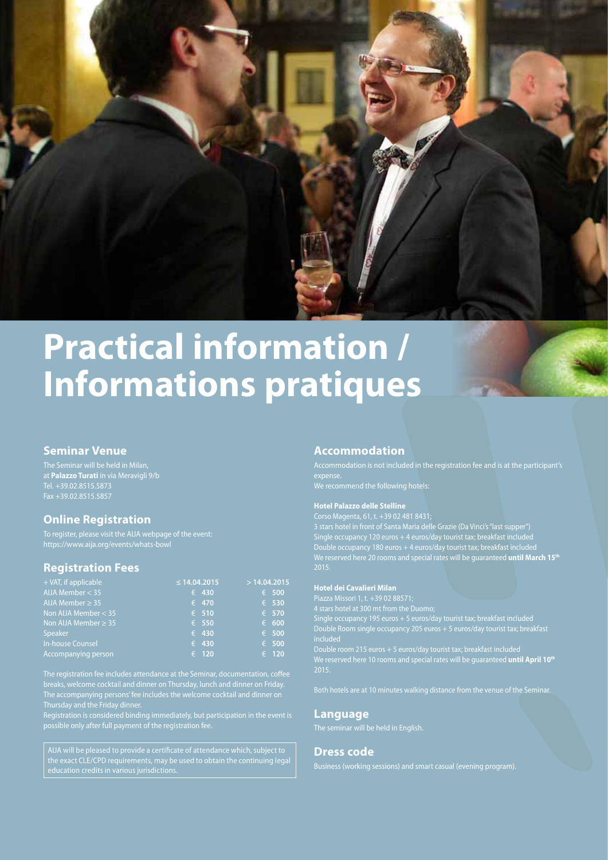

# **Practical information / Informations pratiques**

#### **Seminar Venue**

The Seminar will be held in Milan, at **Palazzo Turati** in via Meravigli 9/b Tel. +39.02.8515.5873

#### **Online Registration**

To register, please visit the AIJA webpage of the event: https://www.aija.org/events/whats-bowl

#### **Registration Fees**

| + VAT, if applicable      | $\leq$ 14.04.2015 | >14.04.2015    |
|---------------------------|-------------------|----------------|
| AIJA Member $<$ 35        | $\epsilon$ 430    | $\epsilon$ 500 |
| AIJA Member $\geq$ 35     | $\epsilon$ 470    | $\epsilon$ 530 |
| Non AIJA Member $<$ 35    | $\epsilon$ 510    | $\epsilon$ 570 |
| Non AIJA Member $\geq$ 35 | $\epsilon$ 550    | $\epsilon$ 600 |
| Speaker                   | $\epsilon$ 430    | $\epsilon$ 500 |
| In-house Counsel          | $\epsilon$ 430    | $\epsilon$ 500 |
| Accompanying person       | € 120             | $\epsilon$ 120 |

The registration fee includes attendance at the Seminar, documentation, coffee The accompanying persons' fee includes the welcome cocktail and dinner on Thursday and the Friday dinner.

Registration is considered binding immediately, but participation in the event is possible only after full payment of the registration fee.

AIJA will be pleased to provide a certificate of attendance which, subject to the exact CLE/CPD requirements, may be used to obtain the continuing legal

#### **Accommodation**

Accommodation is not included in the registration fee and is at the participant's

We recommend the following hotels:

#### **Hotel Palazzo delle Stelline**

Corso Magenta, 61, t. +39 02 481 8431;

3 stars hotel in front of Santa Maria delle Grazie (Da Vinci's "last supper") Single occupancy 120 euros + 4 euros/day tourist tax; breakfast included Double occupancy 180 euros + 4 euros/day tourist tax; breakfast included We reserved here 20 rooms and special rates will be guaranteed **until March 15th** 2015.

#### **Hotel dei Cavalieri Milan**

Piazza Missori 1, t. +39 02 88571; 4 stars hotel at 300 mt from the Duomo; Single occupancy 195 euros + 5 euros/day tourist tax; breakfast included Double Room single occupancy 205 euros + 5 euros/day tourist tax; breakfast We reserved here 10 rooms and special rates will be guaranteed **until April 10th** 2015.

#### **Language**

#### **Dress code**

Business (working sessions) and smart casual (evening program).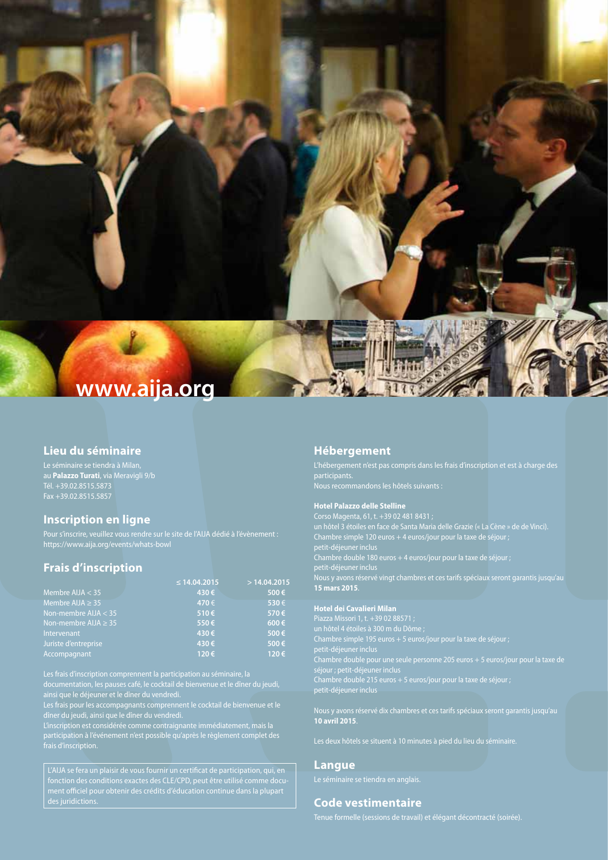

#### **Lieu du séminaire**

Le séminaire se tiendra à Milan, au **Palazzo Turati**, via Meravigli 9/b Tél. +39.02.8515.5873

#### **Inscription en ligne**

Pour s'inscrire, veuillez vous rendre sur le site de l'AIJA dédié à l'évènement : https://www.aija.org/events/whats-bowl

#### **Frais d'inscription**

|                                | $\leq$ 14.04.2015 | >14.04.2015 |
|--------------------------------|-------------------|-------------|
| Membre $\overline{A IJA}$ < 35 | 430€              | 500€        |
| Membre AIJA $\geq$ 35          | 470€              | 530€        |
| Non-membre $AIJA < 35$         | 510€              | 570€        |
| Non-membre AIJA $\geq$ 35      | 550€              | $600 \in$   |
| Intervenant                    | 430€              | 500€        |
| Juriste d'entreprise           | 430€              | 500€        |
| Accompagnant                   | 120€              | 120€        |

ainsi que le déjeuner et le dîner du vendredi.

Les frais pour les accompagnants comprennent le cocktail de bienvenue et le dîner du jeudi, ainsi que le dîner du vendredi.

L'inscription est considérée comme contraignante immédiatement, mais la frais d'inscription.

fonction des conditions exactes des CLE/CPD, peut être utilisé comme document officiel pour obtenir des crédits d'éducation continue dans la plupart

#### **Hébergement**

participants. Nous recommandons les hôtels suivants :

#### **Hotel Palazzo delle Stelline**

Corso Magenta, 61, t. +39 02 481 8431 ; un hôtel 3 étoiles en face de Santa Maria delle Grazie (« La Cène » de de Vinci). Chambre simple 120 euros + 4 euros/jour pour la taxe de séjour ; petit-déjeuner inclus Chambre double 180 euros + 4 euros/jour pour la taxe de séjour ; petit-déjeuner inclus Nous y avons réservé vingt chambres et ces tarifs spéciaux seront garantis jusqu'au **15 mars 2015**.

#### **Hotel dei Cavalieri Milan**

Piazza Missori 1, t. +39 02 88571 ; un hôtel 4 étoiles à 300 m du Dôme ; petit-déjeuner inclus Chambre double pour une seule personne 205 euros + 5 euros/jour pour la taxe de séjour ; petit-déjeuner inclus Chambre double 215 euros + 5 euros/jour pour la taxe de séjour ; petit-déjeuner inclus

Nous y avons réservé dix chambres et ces tarifs spéciaux seront garantis jusqu'au **10 avril 2015**.

#### **Langue**

Le séminaire se tiendra en anglais.

#### **Code vestimentaire**

Tenue formelle (sessions de travail) et élégant décontracté (soirée).